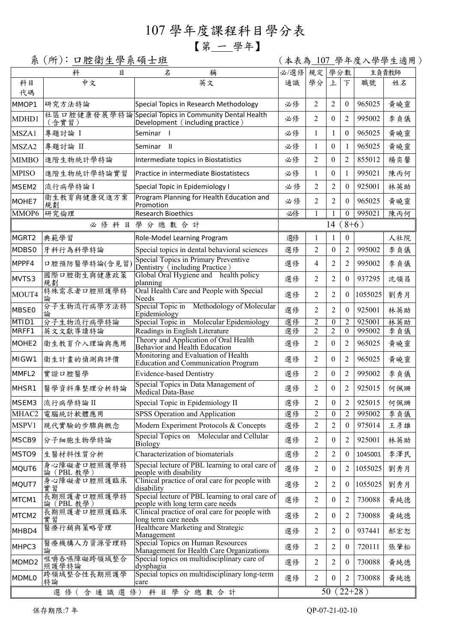## 107 學年度課程科目學分表

## 【第 一 學年】

系(所):口腔衛生學系碩士班 (本表為 107 學年度入學學生適用)

|                   | 科<br>目                    | 名<br>稱                                                                                   | 必/選修          | 規定             | 學分數              |                |         | 主負責教師 |  |
|-------------------|---------------------------|------------------------------------------------------------------------------------------|---------------|----------------|------------------|----------------|---------|-------|--|
| 科目<br>代碼          | 中文                        | 英文                                                                                       | 通識            | 學分             | 上                | $\top$         | 職號      | 姓名    |  |
| MMOP1             | 研究方法特論                    | Special Topics in Research Methodology                                                   | 必修            | 2              | $\overline{2}$   | $\theta$       | 965025  | 黄曉靈   |  |
| MDHD1             | (含實習)                     | 社區口腔健康發展學特論Special Topics in Community Dental Health<br>Development (including practice) | 必修            | 2              | $\theta$         | $\overline{2}$ | 995002  | 李貞儀   |  |
| MSZA1             | 專題討論 I                    | Seminar                                                                                  | 必修            | $\mathbf{1}$   | $\mathbf{1}$     | $\theta$       | 965025  | 黃曉靈   |  |
| MSZA2             | 專題討論 II                   | Seminar II                                                                               | 必修            | $\mathbf{1}$   | $\boldsymbol{0}$ | 1              | 965025  | 黃曉靈   |  |
| <b>MIMBO</b>      | 進階生物統計學特論                 | Intermediate topics in Biostatistics                                                     | 必修            | 2              | $\theta$         | $\overline{2}$ | 855012  | 楊奕馨   |  |
| <b>MPISO</b>      | 進階生物統計學特論實習               | Practice in intermediate Biostatistecs                                                   | 必修            | $\mathbf{1}$   | $\theta$         | 1              | 995021  | 陳丙何   |  |
| MSEM2             | 流行病學特論I                   | Special Topic in Epidemiology I                                                          | 必修            | $\overline{2}$ | 2                | $\overline{0}$ | 925001  | 林英助   |  |
| MOHE7             | 衛生教育與健康促進方案<br>規劃         | Program Planning for Health Education and<br>Promotion                                   | 必修            | $\overline{2}$ | $\overline{2}$   | $\theta$       | 965025  | 黃曉靈   |  |
| MMOP6             | 研究倫理                      | <b>Research Bioethics</b>                                                                | 必修            | 1              |                  | $\theta$       | 995021  | 陳丙何   |  |
| 必修科目學分總數合計        |                           |                                                                                          | $(8+6)$<br>14 |                |                  |                |         |       |  |
| MGRT2             | 典範學習                      | Role-Model Learning Program                                                              | 選修            | 1              | 1                | $\theta$       |         | 人社院   |  |
| MDBS0             | 牙科行為科學特論                  | Special topics in dental behavioral sciences                                             | 選修            | 2              | $\boldsymbol{0}$ | 2              | 995002  | 李貞儀   |  |
| MPPF4             | 口腔預防醫學特論(含見習              | Special Topics in Primary Preventive<br>Dentistry (including Practice)                   | 選修            | 4              | 2                | 2              | 995002  | 李貞儀   |  |
| MVTS3             | 國際口腔衛生與健康政策<br>規劃         | Global Oral Hygiene and health policy<br>planning                                        | 選修            | $\overline{2}$ | 2                | 0              | 937295  | 沈領昌   |  |
| MOUT4             | 特殊需求者口腔照護學特               | Oral Health Care and People with Special<br>Needs                                        | 選修            | $\overline{2}$ | 2                | $\theta$       | 1055025 | 劉秀月   |  |
| <b>MBSE0</b>      | 分子生物流行病學方法特               | Special Topic in Methodology of Molecular<br>Epidemiology                                | 選修            | $\overline{2}$ | 2                | 0              | 925001  | 林英助   |  |
| MTID1             | 分子生物流行病學特論                | Special Topic in<br>Molecular Epidemiology                                               | 選修            | $\overline{c}$ | 0                |                | 925001  | 林英助   |  |
| MRFF1             | 英文文獻導讀特論                  | Readings in English Literature<br>Theory and Application of Oral Health                  | 選修            | $\overline{c}$ | $\overline{2}$   | $\theta$       | 995002  | 李貞儀   |  |
| MOHE <sub>2</sub> | 衛生教育介入理論與應用               | Behavior and Health Education                                                            | 選修            | 2              | $\theta$         | $\overline{2}$ | 965025  | 黃曉靈   |  |
| MIGW1             | 衛生計畫的偵測與評價                | Monitoring and Evaluation of Health<br><b>Education and Communication Program</b>        | 選修            | 2              | $\theta$         | 2              | 965025  | 黃曉靈   |  |
| MMFL2             | 實證口腔醫學                    | <b>Evidence-based Dentistry</b>                                                          | 選修            | 2              | $\theta$         | $\overline{2}$ | 995002  | 李貞儀   |  |
| MHSR1             | 醫學資料庫整理分析特論               | Special Topics in Data Management of<br>Medical Data-Base                                | 選修            | 2              | $\theta$         | $\overline{2}$ | 925015  | 何佩珊   |  |
| MSEM3             | 流行病學特論 II                 | Special Topic in Epidemiology II                                                         | 選修            | $\overline{2}$ | $\boldsymbol{0}$ | 2              | 925015  | 何佩珊   |  |
| MHAC <sub>2</sub> | 電腦統計軟體應用                  | SPSS Operation and Application                                                           | 選修            | 2              | $\boldsymbol{0}$ | $\overline{2}$ | 995002  | 李貞儀   |  |
| MSPV1             | 現代實驗的步驟與概念                | Modern Experiment Protocols & Concepts                                                   | 選修            | $\overline{2}$ | $\overline{2}$   | $\theta$       | 975014  | 王彦雄   |  |
| MSCB9             | 分子細胞生物學特論                 | Special Topics on Molecular and Cellular<br>Biology                                      | 選修            | 2              | $\boldsymbol{0}$ | 2              | 925001  | 林英助   |  |
| MSTO9             | 生醫材料性質分析                  | Characterization of biomaterials                                                         | 選修            | $\overline{c}$ | 2                | 0              | 1045001 | 李澤民   |  |
| MQUT6             | 身心障礙者口腔照護學特<br>論 (PBL 教學) | Special lecture of PBL learning to oral care of<br>people with disability                | 選修            | 2              | 0                | 2              | 1055025 | 劉秀月   |  |
| MQUT7             | 身心障礙者口腔照護臨床<br>實習         | Clinical practice of oral care for people with<br>disability                             | 選修            | 2              | $\overline{2}$   | 0              | 1055025 | 劉秀月   |  |
| MTCM1             | 長期照護者口腔照護學特<br>論 (PBL 教學) | Special lecture of PBL learning to oral care of<br>people with long term care needs      | 選修            | 2              | $\mathbf{0}$     | 2              | 730088  | 黃純德   |  |
| MTCM2             | 長期照護者口腔照護臨床<br>實習         | Clinical practice of oral care for people with<br>long term care needs                   | 選修            | 2              | $\boldsymbol{0}$ | 2              | 730088  | 黃純德   |  |
| MHBD4             | 醫療行銷與策略管理                 | Healthcare Marketing and Strategic<br>Management                                         | 選修            | 2              | 2                | $\overline{0}$ | 937441  | 郝宏恕   |  |
| MHPC3             | 醫療機構人力資源管理特<br>論          | Special Topics on Human Resources<br>Management for Health Care Organizations            | 選修            | 2              | 2                | $\overline{0}$ | 720111  | 張肇松   |  |
| MDMD <sub>2</sub> | 咀嚼吞嚥障礙跨領域整合<br>照護學特論      | Special topics on multidisciplinary care of<br>dysphagia                                 | 選修            | 2              | 2                | $\overline{0}$ | 730088  | 黃純德   |  |
| <b>MDMLO</b>      | 跨領域整合性長期照護學<br>特論         | Special topics on multidisciplinary long-term<br>care                                    | 選修            | $\overline{c}$ | 0                | 2              | 730088  | 黄純德   |  |
|                   | $22+28$ )<br>50           |                                                                                          |               |                |                  |                |         |       |  |